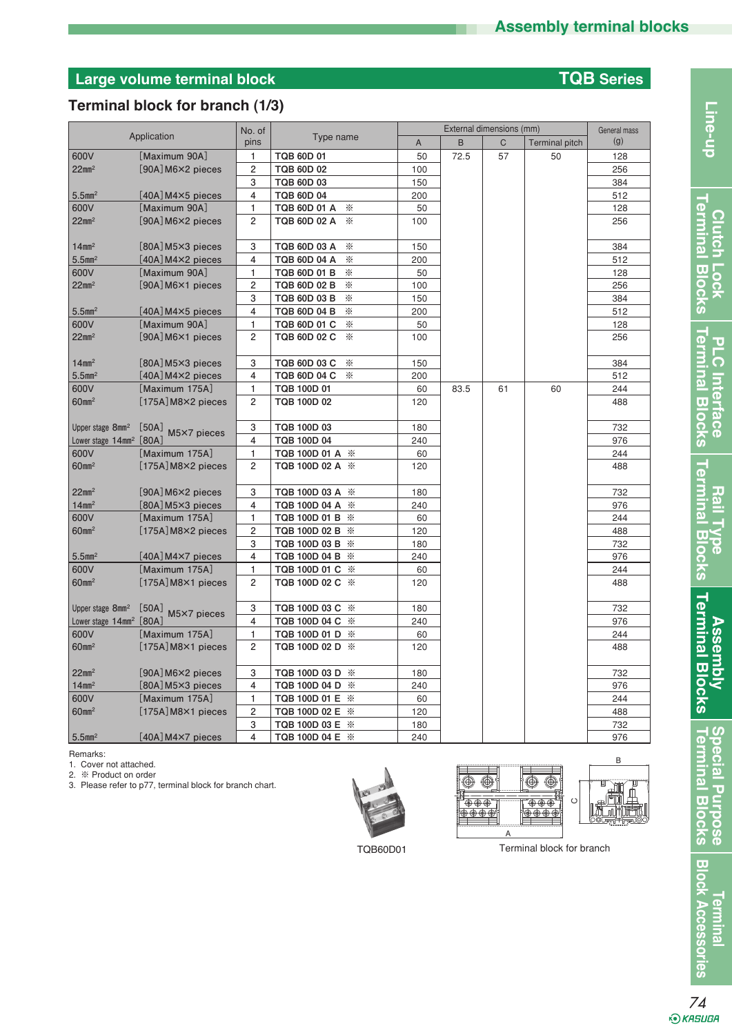# **Large volume terminal block TQB Series**

## **Terminal block for branch (1/3)**

|                                     |                               | No. of                  | External dimensions (mm) |     |      |    | General mass          |     |
|-------------------------------------|-------------------------------|-------------------------|--------------------------|-----|------|----|-----------------------|-----|
|                                     | Application                   | pins                    | Type name                | A   | B    | C  | <b>Terminal pitch</b> | (g) |
| 600V                                | [Maximum 90A]                 | 1                       | <b>TQB 60D 01</b>        | 50  | 72.5 | 57 | 50                    | 128 |
| $22$ mm <sup>2</sup>                | [90A] M6×2 pieces             | $\overline{c}$          | <b>TQB 60D 02</b>        | 100 |      |    |                       | 256 |
|                                     |                               | 3                       | TQB 60D 03               | 150 |      |    |                       | 384 |
| $5.5$ mm <sup>2</sup>               | $[40A]$ M4 $\times$ 5 pieces  | $\overline{\mathbf{4}}$ | TQB 60D 04               | 200 |      |    |                       | 512 |
| 600V                                | [Maximum 90A]                 | 1                       | TQB 60D 01 A<br>☀        | 50  |      |    |                       | 128 |
| $22$ mm <sup>2</sup>                | $[90A]$ M6 $\times$ 2 pieces  | 2                       | TQB 60D 02 A<br>☀        | 100 |      |    |                       | 256 |
|                                     |                               |                         |                          |     |      |    |                       |     |
| $14$ mm <sup>2</sup>                | $[80A]$ M5 $\times$ 3 pieces  | 3                       | ☀<br>TQB 60D 03 A        | 150 |      |    |                       | 384 |
| $5.5$ mm <sup>2</sup>               | $[40A]$ M4 $\times$ 2 pieces  | $\overline{4}$          | TQB 60D 04 A<br>☀        | 200 |      |    |                       | 512 |
| 600V                                | [Maximum 90A]                 | 1                       | TQB 60D 01 B<br>☀        | 50  |      |    |                       | 128 |
| $22$ mm <sup>2</sup>                | $[90A]$ M6 $\times$ 1 pieces  | 2                       | TQB 60D 02 B<br>⋇        | 100 |      |    |                       | 256 |
|                                     |                               | 3                       | TQB 60D 03 B<br>⋇        | 150 |      |    |                       | 384 |
| $5.5$ mm <sup>2</sup>               | $[40A]$ M4 $\times$ 5 pieces  | 4                       | TQB 60D 04 B<br>☀        | 200 |      |    |                       | 512 |
| 600V                                | [Maximum 90A]                 | 1                       | TQB 60D 01 C<br>☀        | 50  |      |    |                       | 128 |
| $22$ mm <sup>2</sup>                | $[90A]$ M6 $\times$ 1 pieces  | $\overline{c}$          | TQB 60D 02 C<br>☀        | 100 |      |    |                       | 256 |
|                                     |                               |                         |                          |     |      |    |                       |     |
| $14$ mm <sup>2</sup>                | $[80A]$ M5 $\times$ 3 pieces  | 3                       | TQB 60D 03 C<br>☀        | 150 |      |    |                       | 384 |
| $5.5$ mm <sup>2</sup>               | $[40A]$ M4 $\times$ 2 pieces  | $\overline{4}$          | TQB 60D 04 C<br>☀        | 200 |      |    |                       | 512 |
| 600V                                | Maximum 175A]                 | 1                       | TQB 100D 01              | 60  | 83.5 | 61 | 60                    | 244 |
| 60mm <sup>2</sup>                   | $[175A]$ M8 $\times$ 2 pieces | 2                       | TQB 100D 02              | 120 |      |    |                       | 488 |
|                                     |                               |                         |                          |     |      |    |                       |     |
| Upper stage 8mm <sup>2</sup>        | [50A]<br>M5×7 pieces          | 3                       | TQB 100D 03              | 180 |      |    |                       | 732 |
| Lower stage 14mm <sup>2</sup> [80A] |                               | 4                       | TQB 100D 04              | 240 |      |    |                       | 976 |
| 600V                                | [Maximum 175A]                | 1                       | TQB 100D 01 A ※          | 60  |      |    |                       | 244 |
| 60mm <sup>2</sup>                   | [175A] M8×2 pieces            | $\overline{c}$          | TQB 100D 02 A ※          | 120 |      |    |                       | 488 |
|                                     |                               |                         |                          |     |      |    |                       |     |
| $22$ mm <sup>2</sup>                | $[90A]$ M6 $\times$ 2 pieces  | 3                       | TQB 100D 03 A ※          | 180 |      |    |                       | 732 |
| $14$ mm <sup>2</sup>                | $[80A]$ M5 $\times$ 3 pieces  | 4                       | TQB 100D 04 A ※          | 240 |      |    |                       | 976 |
| 600V                                | [Maximum 175A]                | 1                       | TQB 100D 01 B ※          | 60  |      |    |                       | 244 |
| $60$ mm <sup>2</sup>                | $[175A]$ M8 $\times$ 2 pieces | $\overline{\mathbf{c}}$ | TQB 100D 02 B ※          | 120 |      |    |                       | 488 |
|                                     |                               | 3                       | TQB 100D 03 B ※          | 180 |      |    |                       | 732 |
| $5.5$ mm <sup>2</sup>               | $[40A]$ M4 $\times$ 7 pieces  | 4                       | TQB 100D 04 B ※          | 240 |      |    |                       | 976 |
| 600V                                | [Maximum 175A]                | 1                       | TQB 100D 01 C ※          | 60  |      |    |                       | 244 |
| $60$ mm <sup>2</sup>                | $[175A]$ M8 $\times$ 1 pieces | $\overline{2}$          | TQB 100D 02 C ※          | 120 |      |    |                       | 488 |
|                                     |                               |                         |                          |     |      |    |                       |     |
| Upper stage 8mm <sup>2</sup>        | [50A]<br>M5×7 pieces          | 3                       | TQB 100D 03 C ※          | 180 |      |    |                       | 732 |
| Lower stage 14mm <sup>2</sup> [80A] |                               | $\overline{\mathbf{4}}$ | TQB 100D 04 C ※          | 240 |      |    |                       | 976 |
| 600V                                | [Maximum 175A]                | $\mathbf{1}$            | TQB 100D 01 D ※          | 60  |      |    |                       | 244 |
| $60$ mm <sup>2</sup>                | $[175A]$ M8×1 pieces          | $\overline{c}$          | TQB 100D 02 D ※          | 120 |      |    |                       | 488 |
|                                     |                               |                         |                          |     |      |    |                       |     |
| $22$ mm <sup>2</sup>                | $[90A]$ M6 $\times$ 2 pieces  | 3                       | TQB 100D 03 D ※          | 180 |      |    |                       | 732 |
| $14$ mm <sup>2</sup>                | [80A] M5×3 pieces             | 4                       | TQB 100D 04 D ※          | 240 |      |    |                       | 976 |
| 600V                                | [Maximum 175A]                | 1                       | TQB 100D 01 E ※          | 60  |      |    |                       | 244 |
| $60$ mm <sup>2</sup>                | $[175A]$ M8 $\times$ 1 pieces | $\overline{c}$          | TQB 100D 02 E ※          | 120 |      |    |                       | 488 |
|                                     |                               | 3                       | TQB 100D 03 E ※          | 180 |      |    |                       | 732 |
| $5.5$ mm <sup>2</sup>               | $[40A]$ M4 $\times$ 7 pieces  | 4                       | TQB 100D 04 E ※          | 240 |      |    |                       | 976 |

Line-up

**Assembly<br>Terminal Blocks Terminal Blocks Assembly**

**Special Purpose<br>Terminal Blocks** Terminal **Terminal Blocks Special Purpose**

**Block Accessories Terminal**

Remarks:

1. Cover not attached.

2. ※ Product on order

3. Please refer to p77, terminal block for branch chart.



 $\overline{\circledcirc}$  $\overline{\circledcirc}$ Ō  $\circledcirc$  $\mathbb{D}$ ∦<br>∣®®®ๅ ┌⊕⊕⊕∫ **CA**

**B**

TQB60D01 Terminal block for branch

*74*<br>€ия∋ив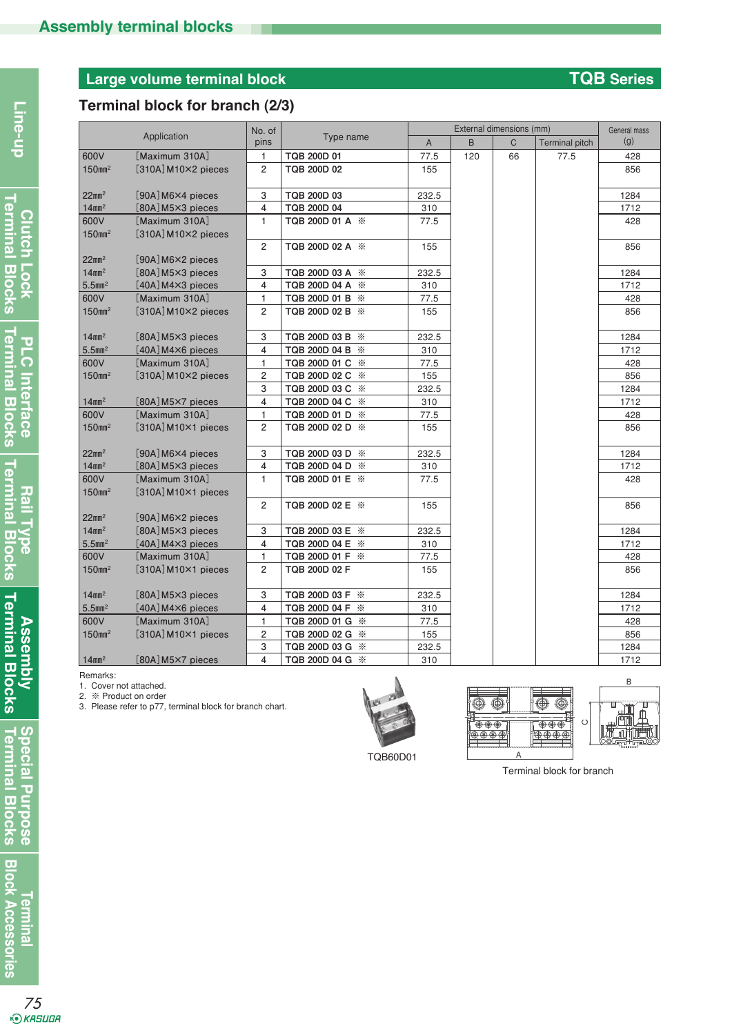# **Large volume terminal block TQB Series**

# **Terminal block for branch (2/3)**

|                               |                                         | No. of         | External dimensions (mm) |              |     |              | General mass          |      |
|-------------------------------|-----------------------------------------|----------------|--------------------------|--------------|-----|--------------|-----------------------|------|
|                               | Application                             | pins           | Type name                | $\mathsf{A}$ | B   | $\mathsf{C}$ | <b>Terminal pitch</b> | (g)  |
| 600V                          | [Maximum 310A]                          | $\mathbf{1}$   | TQB 200D 01              | 77.5         | 120 | 66           | 77.5                  | 428  |
| 150mm <sup>2</sup>            | $[310A]$ M10×2 pieces                   | $\overline{2}$ | TQB 200D 02              | 155          |     |              |                       | 856  |
| $22$ mm <sup>2</sup>          | $[90A]$ M6 $\times$ 4 pieces            | 3              | TQB 200D 03              | 232.5        |     |              |                       | 1284 |
| $14$ mm <sup>2</sup>          | $[80A]$ M5 $\times$ 3 pieces            | $\overline{4}$ | TQB 200D 04              | 310          |     |              |                       | 1712 |
| 600V                          | Maximum 310A]                           | $\mathbf{1}$   | TQB 200D 01 A ※          | 77.5         |     |              |                       | 428  |
| $150$ mm <sup>2</sup>         | $[310A]$ M10×2 pieces                   |                |                          |              |     |              |                       |      |
|                               |                                         | $\overline{2}$ | TQB 200D 02 A ※          | 155          |     |              |                       | 856  |
| $22$ mm <sup>2</sup>          | [90A] M6×2 pieces                       |                |                          |              |     |              |                       |      |
| $14$ mm <sup>2</sup>          | $[80A]$ M5 $\times$ 3 pieces            | 3              | TQB 200D 03 A ※          | 232.5        |     |              |                       | 1284 |
| $5.5$ mm <sup>2</sup>         | $[40A]$ M4 $\times$ 3 pieces            | $\overline{4}$ | TQB 200D 04 A ※          | 310          |     |              |                       | 1712 |
| 600V                          | Maximum 310Al                           | $\mathbf{1}$   | TQB 200D 01 B ※          | 77.5         |     |              |                       | 428  |
| 150mm <sup>2</sup>            | $[310A]$ M10×2 pieces                   | 2              | TQB 200D 02 B ※          | 155          |     |              |                       | 856  |
| $14$ mm <sup>2</sup>          | $[80A]$ M5 $\times$ 3 pieces            | 3              | TQB 200D 03 B ※          | 232.5        |     |              |                       | 1284 |
| $5.5$ mm <sup>2</sup>         | $[40A]$ M4 $\times$ 6 pieces            | 4              | TQB 200D 04 B ※          | 310          |     |              |                       | 1712 |
| 600V                          | [Maximum 310A]                          | $\mathbf{1}$   | TQB 200D 01 C ※          | 77.5         |     |              |                       | 428  |
| 150mm <sup>2</sup>            | $[310A]$ M10×2 pieces                   | $\overline{c}$ | TQB 200D 02 C ※          | 155          |     |              |                       | 856  |
|                               |                                         | 3              | TQB 200D 03 C ※          | 232.5        |     |              |                       | 1284 |
| $14$ mm <sup>2</sup>          | [80A] M5×7 pieces                       | $\overline{4}$ | TQB 200D 04 C ※          | 310          |     |              |                       | 1712 |
| 600V                          | Maximum 310A]                           | 1              | TQB 200D 01 D ※          | 77.5         |     |              |                       | 428  |
| $150$ mm <sup>2</sup>         | $[310A]$ M10×1 pieces                   | $\overline{c}$ | TQB 200D 02 D ※          | 155          |     |              |                       | 856  |
| $22$ mm <sup>2</sup>          | [90A] M6×4 pieces                       | 3              | TQB 200D 03 D ※          | 232.5        |     |              |                       | 1284 |
| $14$ mm <sup>2</sup>          | [80A] M5×3 pieces                       | 4              | TQB 200D 04 D ※          | 310          |     |              |                       | 1712 |
| 600V<br>$150$ mm <sup>2</sup> | [Maximum 310A]<br>$[310A]$ M10×1 pieces | $\mathbf{1}$   | TQB 200D 01 E ※          | 77.5         |     |              |                       | 428  |
|                               |                                         | $\overline{2}$ | TQB 200D 02 E ※          | 155          |     |              |                       | 856  |
| $22$ mm <sup>2</sup>          | [90A] M6×2 pieces                       |                |                          |              |     |              |                       |      |
| $14$ mm <sup>2</sup>          | $[80A]$ M5 $\times$ 3 pieces            | 3              | TQB 200D 03 E ※          | 232.5        |     |              |                       | 1284 |
| $5.5$ mm <sup>2</sup>         | $[40A]$ M4 $\times$ 3 pieces            | 4              | TQB 200D 04 E ※          | 310          |     |              |                       | 1712 |
| 600V                          | Maximum 310Al                           | $\mathbf{1}$   | TQB 200D 01 F ※          | 77.5         |     |              |                       | 428  |
| $150$ mm <sup>2</sup>         | $[310A]$ M10 $\times$ 1 pieces          | $\overline{2}$ | TQB 200D 02 F            | 155          |     |              |                       | 856  |
| $14$ mm <sup>2</sup>          | $[80A]$ M5 $\times$ 3 pieces            | 3              | TQB 200D 03 F ※          | 232.5        |     |              |                       | 1284 |
| $5.5$ mm <sup>2</sup>         | $[40A]$ M4 $\times$ 6 pieces            | 4              | TQB 200D 04 F ※          | 310          |     |              |                       | 1712 |
| 600V                          | [Maximum 310A]                          | $\mathbf{1}$   | TQB 200D 01 G ※          | 77.5         |     |              |                       | 428  |
| $150$ mm <sup>2</sup>         | $[310A]$ M10×1 pieces                   | 2              | TQB 200D 02 G ※          | 155          |     |              |                       | 856  |
|                               |                                         | 3              | TQB 200D 03 G ※          | 232.5        |     |              |                       | 1284 |
| $14$ mm <sup>2</sup>          | [80A] M5×7 pieces                       | $\overline{4}$ | TQB 200D 04 G ※          | 310          |     |              |                       | 1712 |

Remarks:

1. Cover not attached.

2. ※ Product on order

3. Please refer to p77, terminal block for branch chart.



TQB60D01





Terminal block for branch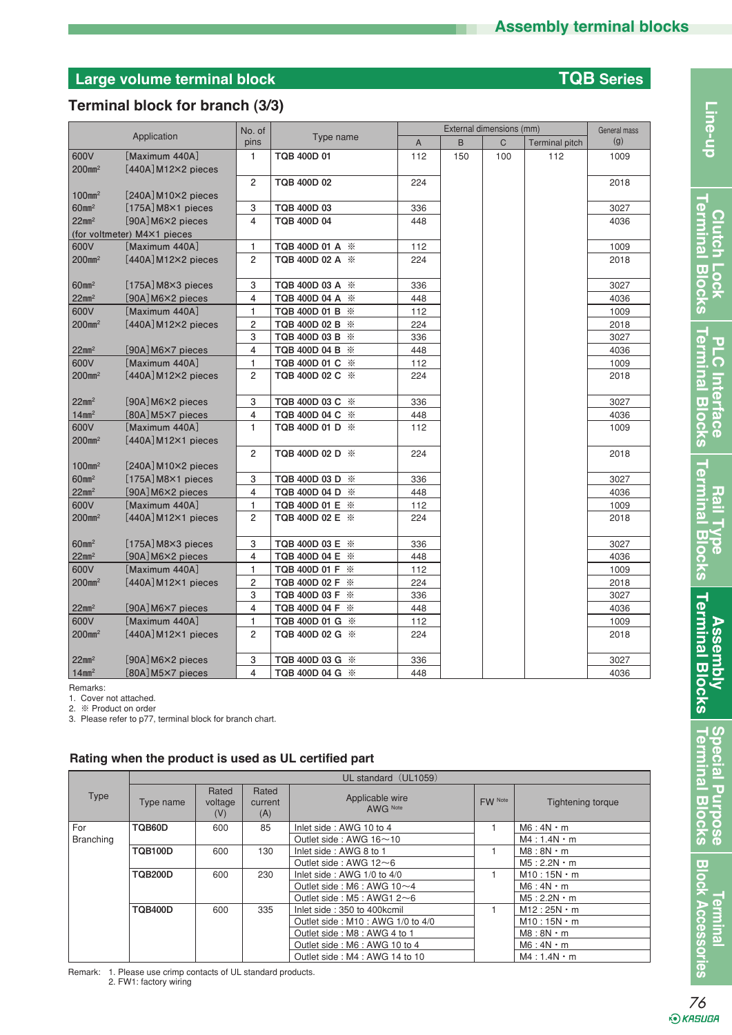# **Large volume terminal block TQB Series**

### **Terminal block for branch (3/3)**

|                       |                                | No. of         |                    |                | External dimensions (mm) |              |                       |      |
|-----------------------|--------------------------------|----------------|--------------------|----------------|--------------------------|--------------|-----------------------|------|
|                       | Application                    | pins           | Type name          | $\overline{A}$ | B                        | $\mathsf{C}$ | <b>Terminal pitch</b> | (g)  |
| 600V                  | [Maximum 440A]                 | $\mathbf{1}$   | TQB 400D 01        | 112            | 150                      | 100          | 112                   | 1009 |
| $200$ mm <sup>2</sup> | $[440A]$ M12 $\times$ 2 pieces |                |                    |                |                          |              |                       |      |
|                       |                                | 2              | <b>TQB 400D 02</b> | 224            |                          |              |                       | 2018 |
| 100mm <sup>2</sup>    | $[240A]$ M10×2 pieces          |                |                    |                |                          |              |                       |      |
| 60mm <sup>2</sup>     | $[175A]$ M8 $\times$ 1 pieces  | 3              | TQB 400D 03        | 336            |                          |              |                       | 3027 |
| $22$ mm <sup>2</sup>  | [90A] M6×2 pieces              | $\overline{4}$ | <b>TQB 400D 04</b> | 448            |                          |              |                       | 4036 |
|                       | (for voltmeter) M4×1 pieces    |                |                    |                |                          |              |                       |      |
| 600V                  | Maximum 440A]                  | $\mathbf{1}$   | TQB 400D 01 A ※    | 112            |                          |              |                       | 1009 |
| 200mm <sup>2</sup>    | $[440A]$ M12×2 pieces          | $\overline{2}$ | TQB 400D 02 A ※    | 224            |                          |              |                       | 2018 |
|                       |                                |                |                    |                |                          |              |                       |      |
| 60mm <sup>2</sup>     | $[175A]$ M8 $\times$ 3 pieces  | 3              | TQB 400D 03 A ※    | 336            |                          |              |                       | 3027 |
| $22$ mm <sup>2</sup>  | [90A] M6×2 pieces              | 4              | TQB 400D 04 A ※    | 448            |                          |              |                       | 4036 |
| 600V                  | Maximum 440A]                  | $\mathbf{1}$   | TQB 400D 01 B ※    | 112            |                          |              |                       | 1009 |
| $200$ mm <sup>2</sup> | $[440A]$ M12×2 pieces          | $\overline{2}$ | TQB 400D 02 B ※    | 224            |                          |              |                       | 2018 |
|                       |                                | 3              | TQB 400D 03 B ※    | 336            |                          |              |                       | 3027 |
| $22$ mm <sup>2</sup>  | [90A] M6×7 pieces              | $\overline{4}$ | TQB 400D 04 B ※    | 448            |                          |              |                       | 4036 |
| 600V                  | [Maximum 440A]                 | $\mathbf{1}$   | TQB 400D 01 C ※    | 112            |                          |              |                       | 1009 |
| 200mm <sup>2</sup>    | $[440A]$ M12×2 pieces          | $\overline{c}$ | TQB 400D 02 C ※    | 224            |                          |              |                       | 2018 |
|                       |                                |                |                    |                |                          |              |                       |      |
| $22$ mm <sup>2</sup>  | [90A] M6×2 pieces              | 3              | TQB 400D 03 C ※    | 336            |                          |              |                       | 3027 |
| $14$ mm <sup>2</sup>  | $[80A]$ M5 $\times$ 7 pieces   | $\overline{4}$ | TQB 400D 04 C ※    | 448            |                          |              |                       | 4036 |
| 600V                  | Maximum 440A]                  | $\mathbf{1}$   | TQB 400D 01 D ※    | 112            |                          |              |                       | 1009 |
| $200$ mm <sup>2</sup> | $[440A]$ M12×1 pieces          |                |                    |                |                          |              |                       |      |
|                       |                                | $\overline{2}$ | TQB 400D 02 D ※    | 224            |                          |              |                       | 2018 |
| $100$ mm <sup>2</sup> | $[240A]$ M10×2 pieces          |                |                    |                |                          |              |                       |      |
| 60mm <sup>2</sup>     | $[175A]$ M8 $\times$ 1 pieces  | 3              | TQB 400D 03 D ※    | 336            |                          |              |                       | 3027 |
| $22$ mm <sup>2</sup>  | [90A] M6×2 pieces              | $\overline{4}$ | TQB 400D 04 D ※    | 448            |                          |              |                       | 4036 |
| 600V                  | [Maximum 440A]                 | $\mathbf{1}$   | TQB 400D 01 E ※    | 112            |                          |              |                       | 1009 |
| $200$ mm <sup>2</sup> | $[440A]$ M12×1 pieces          | $\overline{c}$ | TQB 400D 02 E ※    | 224            |                          |              |                       | 2018 |
|                       |                                |                |                    |                |                          |              |                       |      |
| 60mm <sup>2</sup>     | $[175A]$ M8 $\times$ 3 pieces  | 3              | TQB 400D 03 E ※    | 336            |                          |              |                       | 3027 |
| $22$ mm <sup>2</sup>  | [90A] M6×2 pieces              | $\overline{4}$ | TQB 400D 04 E ※    | 448            |                          |              |                       | 4036 |
| 600V                  | [Maximum 440A]                 | 1              | TQB 400D 01 F ※    | 112            |                          |              |                       | 1009 |
| $200$ mm <sup>2</sup> | $[440A]$ M12×1 pieces          | 2              | TQB 400D 02 F ※    | 224            |                          |              |                       | 2018 |
|                       |                                | 3              | TQB 400D 03 F ※    | 336            |                          |              |                       | 3027 |
| $22$ mm <sup>2</sup>  | [90A] M6×7 pieces              | 4              | TQB 400D 04 F ※    | 448            |                          |              |                       | 4036 |
| 600V                  | Maximum 440A]                  | 1              | TQB 400D 01 G ※    | 112            |                          |              |                       | 1009 |
| $200$ mm <sup>2</sup> | $[440A]$ M12×1 pieces          | $\overline{2}$ | TQB 400D 02 G ※    | 224            |                          |              |                       | 2018 |
|                       |                                |                |                    |                |                          |              |                       |      |
| $22$ mm <sup>2</sup>  | [90A] M6×2 pieces              | 3              | TQB 400D 03 G ※    | 336            |                          |              |                       | 3027 |
| $14$ mm <sup>2</sup>  | [80A] M5×7 pieces              | 4              | TQB 400D 04 G ※    | 448            |                          |              |                       | 4036 |

Remarks:

1. Cover not attached.

2. ※ Product on order

3. Please refer to p77, terminal block for branch chart.

#### **Rating when the product is used as UL certified part**

|                  |                | UL standard (UL1059)    |                         |                                              |         |                          |  |  |  |  |
|------------------|----------------|-------------------------|-------------------------|----------------------------------------------|---------|--------------------------|--|--|--|--|
| <b>Type</b>      | Type name      | Rated<br>voltage<br>(V) | Rated<br>current<br>(A) | Applicable wire<br>AWG Note                  | FW Note | <b>Tightening torque</b> |  |  |  |  |
| For              | TQB60D         | 600                     | 85                      | Inlet side: AWG 10 to 4                      |         | $M6:4N \cdot m$          |  |  |  |  |
| <b>Branching</b> |                |                         |                         | Outlet side : AWG $16 \sim 10$               |         | $M4:1.4N \cdot m$        |  |  |  |  |
|                  | <b>TQB100D</b> | 600                     | 130                     | Inlet side: AWG 8 to 1                       |         | $MS: 8N \cdot m$         |  |  |  |  |
|                  |                |                         |                         | Outlet side : AWG $12\sim 6$                 |         | $M5:2.2N \cdot m$        |  |  |  |  |
|                  | <b>TQB200D</b> | 600                     | 230                     | Inlet side: AWG 1/0 to 4/0                   |         | $M10:15N \cdot m$        |  |  |  |  |
|                  |                |                         |                         | Outlet side : M6 : AWG $10\nightharpoonup 4$ |         | $M6:4N \cdot m$          |  |  |  |  |
|                  |                |                         |                         | Outlet side : M5 : AWG1 $2 \sim 6$           |         | $M5:2.2N \cdot m$        |  |  |  |  |
|                  | <b>TQB400D</b> | 600                     | 335                     | Inlet side: 350 to 400kcmil                  |         | $M12:25N \cdot m$        |  |  |  |  |
|                  |                |                         |                         | Outlet side: M10: AWG 1/0 to 4/0             |         | $M10:15N \cdot m$        |  |  |  |  |
|                  |                |                         |                         | Outlet side: M8: AWG 4 to 1                  |         | $MS: 8N \cdot m$         |  |  |  |  |
|                  |                |                         |                         | Outlet side: M6: AWG 10 to 4                 |         | $M6:4N \cdot m$          |  |  |  |  |
|                  |                |                         |                         | Outlet side: M4: AWG 14 to 10                |         | $M4:1.4N \cdot m$        |  |  |  |  |

Remark: 1. Please use crimp contacts of UL standard products.

2. FW1: factory wiring

|                                                               | ì                               |
|---------------------------------------------------------------|---------------------------------|
| ×<br>$\overline{1}$<br>۰<br>Ū<br>I<br>ł<br>ł<br>ı             | d                               |
| ×<br>Ī<br>۰<br>۰<br>Ī<br>Ū<br>I<br>ı<br>۰<br>i<br>d<br>ł<br>à | i<br>J<br>۰<br>h<br>i<br>ï<br>Ľ |
| ×<br>$\mathbf{r}$<br>۰<br>ä<br>I<br>ī<br>i                    | J.<br>ı<br>h<br>ì<br>S          |
| Ţ<br>١<br>١                                                   | I                               |
| ï<br>۰<br>٠<br>U<br>I<br>j<br>ł                               | d<br>ċ<br>ł<br>þ                |
|                                                               | ſ<br>÷<br>÷<br>۰                |

**Clutch Lock<br>Terminal Blocks** 

**PLC Interface<br>Terminal Blocks** 

**Rail Type Assembly<br>Terminal Blocks Terminal Blocks**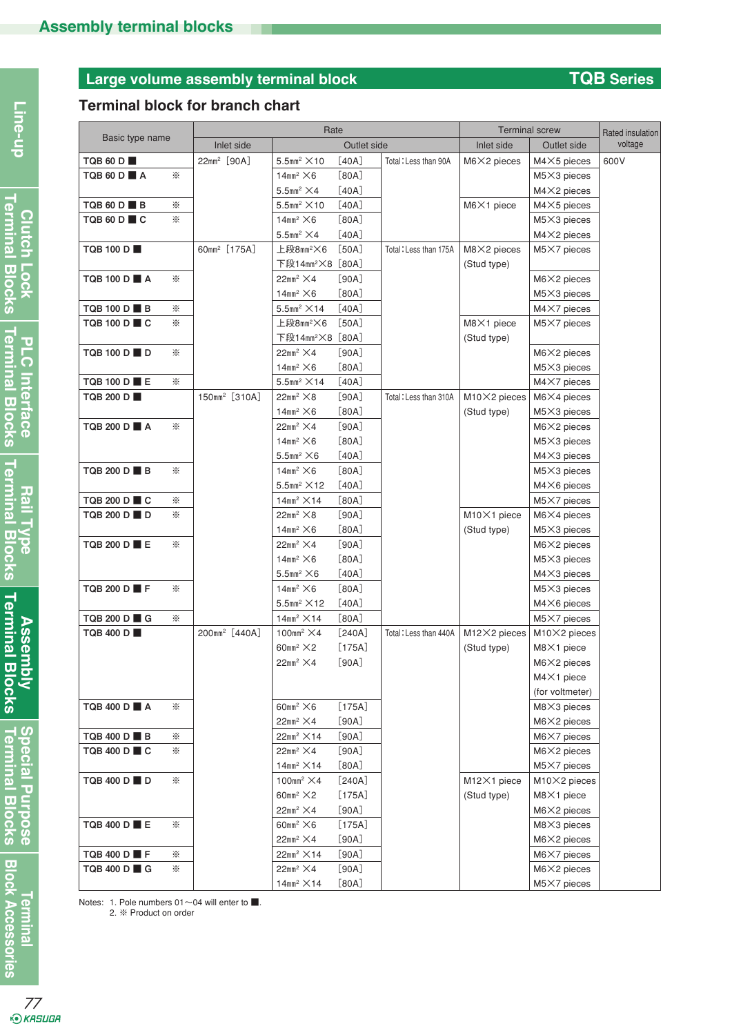# **Large volume assembly terminal block TQB Series**

# **Terminal block for branch chart**

|                  |   | Rate                      |                                                                       | <b>Terminal screw</b> |                       | Rated insulation     |                                |         |
|------------------|---|---------------------------|-----------------------------------------------------------------------|-----------------------|-----------------------|----------------------|--------------------------------|---------|
| Basic type name  |   | Inlet side                |                                                                       | Outlet side           |                       | Inlet side           | Outlet side                    | voltage |
| <b>TQB 60 D</b>  |   | 22mm <sup>2</sup> [90A]   | $5.5$ mm <sup>2</sup> $\times$ 10                                     | [40A]                 | Total: Less than 90A  | $M6X2$ pieces        | $M4\times5$ pieces             | 600V    |
| TQB 60 D A       | ⋇ |                           | $14$ mm <sup>2</sup> $\times$ 6                                       | [80A]                 |                       |                      | $M5\times3$ pieces             |         |
|                  |   |                           | $5.5$ mm <sup>2</sup> $\times$ 4                                      | [40A]                 |                       |                      | $M4\times2$ pieces             |         |
| TQB 60 D ■ B     | ☀ |                           | $5.5$ mm <sup>2</sup> $\times$ 10                                     | [40A]                 |                       | $M6X1$ piece         | $M4\times5$ pieces             |         |
| TQB 60 D■C       | ☀ |                           | $14$ mm <sup>2</sup> $\times$ 6                                       | [80A]                 |                       |                      | $M5\times3$ pieces             |         |
|                  |   |                           | $5.5$ mm <sup>2</sup> $\times$ 4                                      | [40A]                 |                       |                      | $M4\times2$ pieces             |         |
| TQB 100 D        |   | 60mm <sup>2</sup> [175A]  | 上段8mm <sup>2</sup> ×6                                                 | [50A]                 | Total: Less than 175A | $M8X2$ pieces        | $M5X7$ pieces                  |         |
|                  |   |                           | 下段14mm <sup>2</sup> ×8 [80A]                                          |                       |                       | (Stud type)          |                                |         |
| TQB 100 D A      | ⋇ |                           | $22mm^2 \times 4$                                                     | [90A]                 |                       |                      | $M6X2$ pieces                  |         |
|                  |   |                           | $14$ mm <sup>2</sup> $\times$ 6                                       | [80A]                 |                       |                      | $M5\times3$ pieces             |         |
| TQB 100 D ■ B    | ☀ |                           | $5.5$ mm <sup>2</sup> $\times$ 14                                     | [40A]                 |                       |                      | $M4X7$ pieces                  |         |
| TQB 100 D ■ C    | ⋇ |                           | 上段8mm <sup>2</sup> ×6                                                 | [50A]                 |                       | $M8X1$ piece         | $M5X7$ pieces                  |         |
|                  |   |                           | 下段14mm <sup>2</sup> ×8 [80A]                                          |                       |                       | (Stud type)          |                                |         |
| TQB 100 D D      | ⋇ |                           | $22mm^2 \times 4$                                                     | [90A]                 |                       |                      | $M6X2$ pieces                  |         |
|                  |   |                           | $14$ mm <sup>2</sup> $\times$ 6                                       | [80A]                 |                       |                      | $M5\times3$ pieces             |         |
| TQB 100 D ■ E    | ☀ |                           | $5.5$ mm <sup>2</sup> $\times$ 14                                     | [40A]                 |                       |                      | $M4X7$ pieces                  |         |
| TQB 200 D        |   | 150mm <sup>2</sup> [310A] | $22mm^2 \times 8$                                                     | [90A]                 | Total: Less than 310A | $M10\times 2$ pieces | $M6X4$ pieces                  |         |
|                  |   |                           | $14$ mm <sup>2</sup> $\times$ 6                                       | [80A]                 |                       | (Stud type)          | $M5\times3$ pieces             |         |
| TQB 200 D A      | ⋇ |                           | $22mm^2 \times 4$                                                     | [90A]                 |                       |                      | $M6X2$ pieces                  |         |
|                  |   |                           | $14$ mm <sup>2</sup> $\times$ 6                                       | [80A]                 |                       |                      | $M5\times3$ pieces             |         |
| TQB 200 D B      |   |                           | $5.5$ mm <sup>2</sup> $\times$ 6                                      | [40A]                 |                       |                      | $M4\times3$ pieces             |         |
|                  | ⋇ |                           | $14$ mm <sup>2</sup> $\times$ 6                                       | [80A]                 |                       |                      | M5×3 pieces                    |         |
| TQB 200 D ■ C    | ☀ |                           | $5.5$ mm <sup>2</sup> $\times$ 12<br>$14$ mm <sup>2</sup> $\times$ 14 | [40A]<br>[80A]        |                       |                      | $M4\times 6$ pieces            |         |
| TQB 200 D D      | ☀ |                           | $22mm^2 \times 8$                                                     | [90A]                 |                       | M10×1 piece          | $M5X7$ pieces<br>$M6X4$ pieces |         |
|                  |   |                           | $14$ mm <sup>2</sup> $\times$ 6                                       | [80A]                 |                       | (Stud type)          | $M5\times3$ pieces             |         |
| TQB 200 D ■ E    | ⋇ |                           | $22mm^2 \times 4$                                                     | [90A]                 |                       |                      | $M6X2$ pieces                  |         |
|                  |   |                           | $14$ mm <sup>2</sup> $\times$ 6                                       | [80A]                 |                       |                      | $M5\times3$ pieces             |         |
|                  |   |                           | $5.5$ mm <sup>2</sup> $\times$ 6                                      | [40A]                 |                       |                      | $M4\times3$ pieces             |         |
| TQB 200 D F      | ⋇ |                           | $14$ mm <sup>2</sup> $\times$ 6                                       | [80A]                 |                       |                      | M5×3 pieces                    |         |
|                  |   |                           | $5.5$ mm <sup>2</sup> $\times$ 12                                     | [40A]                 |                       |                      | M4X6 pieces                    |         |
| TQB 200 D ■ G    | ☀ |                           | $14$ mm <sup>2</sup> $\times$ 14                                      | [80A]                 |                       |                      | $M5X7$ pieces                  |         |
| <b>TQB 400 D</b> |   | 200mm <sup>2</sup> [440A] | $100$ mm <sup>2</sup> $\times$ 4                                      | [240A]                | Total: Less than 440A | M12×2 pieces         | M10×2 pieces                   |         |
|                  |   |                           | $60$ mm <sup>2</sup> $\times$ 2                                       | [175A]                |                       | (Stud type)          | $M8X1$ piece                   |         |
|                  |   |                           | $22mm^2 \times 4$                                                     | [90A]                 |                       |                      | M6×2 pieces                    |         |
|                  |   |                           |                                                                       |                       |                       |                      | M4×1 piece                     |         |
|                  |   |                           |                                                                       |                       |                       |                      | (for voltmeter)                |         |
| TQB 400 D ■ A    | ⋇ |                           | $60$ mm <sup>2</sup> $\times$ 6                                       | $[175A]$              |                       |                      | $M8X3$ pieces                  |         |
|                  |   |                           | $22mm^2 \times 4$                                                     | [90A]                 |                       |                      | $M6X2$ pieces                  |         |
| TQB 400 D B      | ☀ |                           | $22mm^2 \times 14$                                                    | [90A]                 |                       |                      | $M6X7$ pieces                  |         |
| TQB 400 D ■ C    | ☀ |                           | $22mm^2 \times 4$                                                     | [90A]                 |                       |                      | $M6X2$ pieces                  |         |
|                  |   |                           | $14$ mm <sup>2</sup> $\times$ 14                                      | [80A]                 |                       |                      | $M5X7$ pieces                  |         |
| TQB 400 D D D    | ☀ |                           | $100$ mm <sup>2</sup> $\times$ 4                                      | [240A]                |                       | M12×1 piece          | M10×2 pieces                   |         |
|                  |   |                           | $60$ mm <sup>2</sup> $\times$ 2                                       | [175A]                |                       | (Stud type)          | M8×1 piece                     |         |
|                  |   |                           | $22mm^2 \times 4$                                                     | [90A]                 |                       |                      | $M6X2$ pieces                  |         |
| TQB 400 D ■ E    | ☀ |                           | $60$ mm <sup>2</sup> $\times$ 6                                       | [175A]                |                       |                      | $M8X3$ pieces                  |         |
|                  |   |                           | $22mm^2 \times 4$                                                     | [90A]                 |                       |                      | $M6X2$ pieces                  |         |
| TQB 400 D ■ F    | ☀ |                           | $22mm^2 \times 14$                                                    | [90A]                 |                       |                      | $M6X7$ pieces                  |         |
| TQB 400 D ■ G    | ⋇ |                           | $22mm^2 \times 4$                                                     | [90A]                 |                       |                      | $M6X2$ pieces                  |         |
|                  |   |                           | $14$ mm <sup>2</sup> $\times$ 14                                      | [80A]                 |                       |                      | M5×7 pieces                    |         |

Notes: 1. Pole numbers 01~04 will enter to ■.

2. ※ Product on order

**Line-up**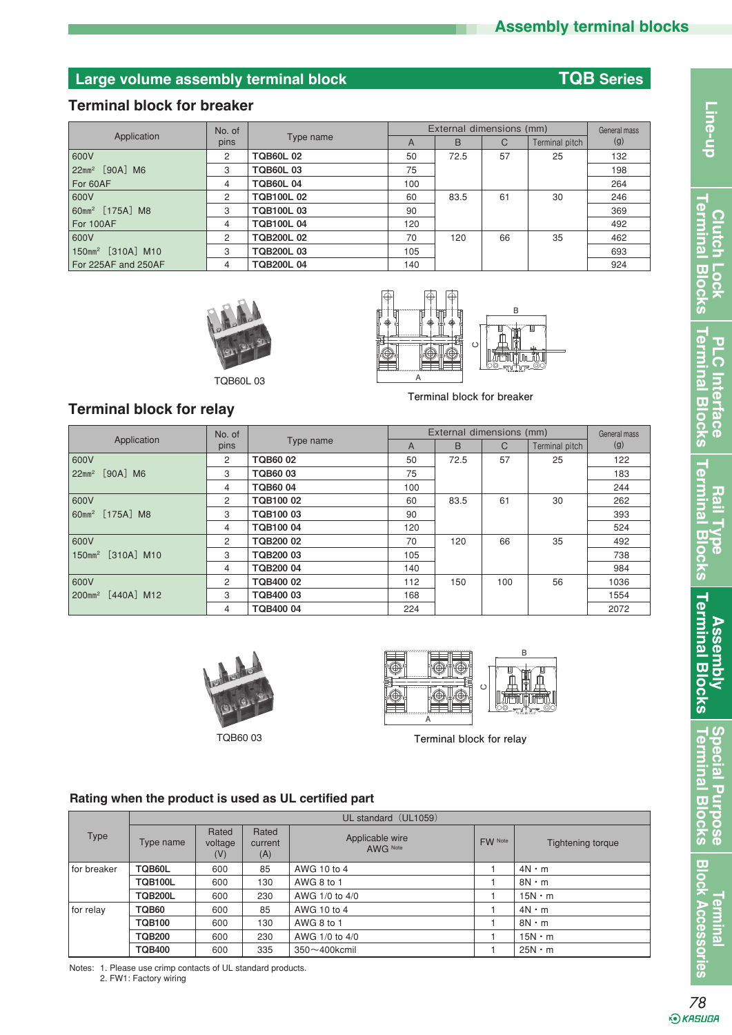# **Large volume assembly terminal block TQB Series**

#### **Terminal block for breaker**

|                               | No. of |                  | External dimensions (mm) | General mass |    |                |     |
|-------------------------------|--------|------------------|--------------------------|--------------|----|----------------|-----|
| Application                   | pins   | Type name        | A                        | B            | C  | Terminal pitch | (g) |
| 1600V                         | 2      | <b>TQB60L02</b>  | 50                       | 72.5         | 57 | 25             | 132 |
| 22mm <sup>2</sup> [90A] M6    | 3      | <b>TQB60L03</b>  | 75                       |              |    |                | 198 |
| For 60AF                      | 4      | <b>TQB60L04</b>  | 100                      |              |    |                | 264 |
| 1600V                         | 2      | <b>TQB100L02</b> | 60                       | 83.5         | 61 | 30             | 246 |
| 60mm <sup>2</sup> [175A] M8   | 3      | <b>TQB100L03</b> | 90                       |              |    |                | 369 |
| For 100AF                     | 4      | <b>TQB100L04</b> | 120                      |              |    |                | 492 |
| 1600V                         | 2      | <b>TQB200L02</b> | 70                       | 120          | 66 | 35             | 462 |
| 150mm <sup>2</sup> [310A] M10 | 3      | <b>TQB200L03</b> | 105                      |              |    |                | 693 |
| For 225AF and 250AF           | 4      | <b>TQB200L04</b> | 140                      |              |    |                | 924 |







**Terminal block for breaker**

# **Terminal block for relay**

|                                                   | No. of |                 | External dimensions (mm) | General mass |               |                |      |
|---------------------------------------------------|--------|-----------------|--------------------------|--------------|---------------|----------------|------|
| Application                                       | pins   | Type name       | A                        | B            | $\mathcal{C}$ | Terminal pitch | (g)  |
| 600V                                              | 2      | <b>TQB6002</b>  | 50                       | 72.5         | 57            | 25             | 122  |
| $[90A]$ M <sub>6</sub><br>$22$ mm <sup>2</sup>    | 3      | <b>TQB6003</b>  | 75                       |              |               |                | 183  |
|                                                   | 4      | <b>TQB6004</b>  | 100                      |              |               |                | 244  |
| 600V                                              | 2      | <b>TQB10002</b> | 60                       | 83.5         | 61            | 30             | 262  |
| 60mm <sup>2</sup> [175A] M8                       | 3      | TQB10003        | 90                       |              |               |                | 393  |
|                                                   | 4      | <b>TQB10004</b> | 120                      |              |               |                | 524  |
| 600V                                              | 2      | TQB200 02       | 70                       | 120          | 66            | 35             | 492  |
| $[310A]$ M <sub>10</sub><br>$150$ mm <sup>2</sup> | 3      | TQB200 03       | 105                      |              |               |                | 738  |
|                                                   | 4      | TQB200 04       | 140                      |              |               |                | 984  |
| 600V                                              | 2      | TQB400 02       | 112                      | 150          | 100           | 56             | 1036 |
| $[440A]$ M <sub>12</sub><br>$200$ mm <sup>2</sup> | 3      | TQB400 03       | 168                      |              |               |                | 1554 |
|                                                   | 4      | TQB400 04       | 224                      |              |               |                | 2072 |





**Terminal block for relay**

#### **Rating when the product is used as UL certified part**

|             | UL standard (UL1059)                                            |     |     |                             |         |                          |  |  |  |
|-------------|-----------------------------------------------------------------|-----|-----|-----------------------------|---------|--------------------------|--|--|--|
| Type        | Rated<br>Rated<br>Type name<br>voltage<br>current<br>(V)<br>(A) |     |     | Applicable wire<br>AWG Note | FW Note | <b>Tightening torque</b> |  |  |  |
| for breaker | TQB60L                                                          | 600 | 85  | AWG 10 to 4                 |         | $4N \cdot m$             |  |  |  |
|             | <b>TQB100L</b>                                                  | 600 | 130 | AWG 8 to 1                  |         | $8N \cdot m$             |  |  |  |
|             | <b>TQB200L</b>                                                  | 600 | 230 | AWG 1/0 to 4/0              |         | $15N \cdot m$            |  |  |  |
| for relay   | TQB60                                                           | 600 | 85  | AWG 10 to 4                 |         | $4N \cdot m$             |  |  |  |
|             | <b>TQB100</b>                                                   | 600 | 130 | AWG 8 to 1                  |         | $8N \cdot m$             |  |  |  |
|             | <b>TQB200</b>                                                   | 600 | 230 | AWG 1/0 to 4/0              |         | $15N \cdot m$            |  |  |  |
|             | <b>TQB400</b>                                                   | 600 | 335 | $350 \sim 400$ kcmil        |         | $25N \cdot m$            |  |  |  |

Notes: 1. Please use crimp contacts of UL standard products.

2. FW1: Factory wiring

*<u><b>Termina</u>* 

**Block Accessories** 

**Assembly Terminal Blocks**

**Assembly<br>Terminal Blocks** 

**Terminal Blocks Special Purpose**

 $\overline{a}$  $rac{1}{2}$ **\$ 8** 

Special Purpo

Terminal